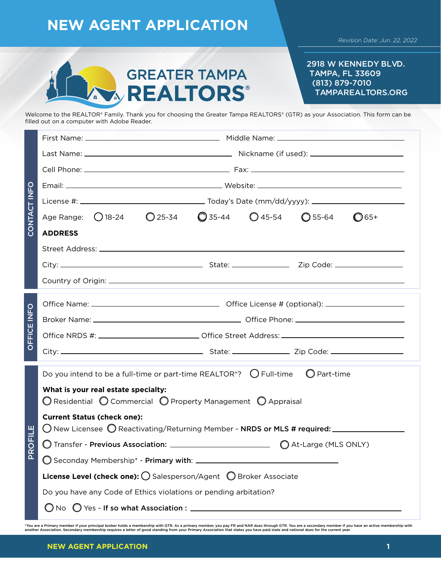### **NEW AGENT APPLICATION** *Revision Date: Jun. 22, 2022* 2918 W KENNEDY BLVD. **GREATER TAMPA** TAMPA, FL 33609 (813) 879-7010 **REALTORS®** TAMPAREALTORS.ORG Welcome to the REALTOR® Family. Thank you for choosing the Greater Tampa REALTORS® (GTR) as your Association. This form can be filled out on a computer with Adobe Reader.

| CONTACT INFO       |                                                                                                                                         |  |  |  |  |  |  |  |  |  |  |  |
|--------------------|-----------------------------------------------------------------------------------------------------------------------------------------|--|--|--|--|--|--|--|--|--|--|--|
|                    |                                                                                                                                         |  |  |  |  |  |  |  |  |  |  |  |
|                    |                                                                                                                                         |  |  |  |  |  |  |  |  |  |  |  |
|                    |                                                                                                                                         |  |  |  |  |  |  |  |  |  |  |  |
|                    | Age Range: 0 18-24  0 25-34  0 35-44  0 45-54  0 55-64<br>$\bigcirc$ 65+                                                                |  |  |  |  |  |  |  |  |  |  |  |
|                    | <b>ADDRESS</b>                                                                                                                          |  |  |  |  |  |  |  |  |  |  |  |
|                    |                                                                                                                                         |  |  |  |  |  |  |  |  |  |  |  |
|                    |                                                                                                                                         |  |  |  |  |  |  |  |  |  |  |  |
|                    |                                                                                                                                         |  |  |  |  |  |  |  |  |  |  |  |
| <b>OFFICE INFO</b> |                                                                                                                                         |  |  |  |  |  |  |  |  |  |  |  |
|                    | Office NRDS #: ______________________________Office Street Address: ________________________________                                    |  |  |  |  |  |  |  |  |  |  |  |
|                    |                                                                                                                                         |  |  |  |  |  |  |  |  |  |  |  |
|                    | Do you intend to be a full-time or part-time REALTOR <sup>®</sup> ? $\bigcirc$ Full-time $\bigcirc$ Part-time                           |  |  |  |  |  |  |  |  |  |  |  |
|                    | What is your real estate specialty:<br>$\bigcirc$ Residential $\bigcirc$ Commercial $\bigcirc$ Property Management $\bigcirc$ Appraisal |  |  |  |  |  |  |  |  |  |  |  |
|                    | <b>Current Status (check one):</b>                                                                                                      |  |  |  |  |  |  |  |  |  |  |  |
| ROFILE             |                                                                                                                                         |  |  |  |  |  |  |  |  |  |  |  |
| <u>a</u>           |                                                                                                                                         |  |  |  |  |  |  |  |  |  |  |  |
|                    | License Level (check one): O Salesperson/Agent O Broker Associate                                                                       |  |  |  |  |  |  |  |  |  |  |  |
|                    | Do you have any Code of Ethics violations or pending arbitation?                                                                        |  |  |  |  |  |  |  |  |  |  |  |
|                    |                                                                                                                                         |  |  |  |  |  |  |  |  |  |  |  |

\*You are a Primary member if your principal broker holds a membership with GTR. As a primary member, you pay FR and NAR dues through GTR. You are a secondary member if you have an active membership with<br>another Association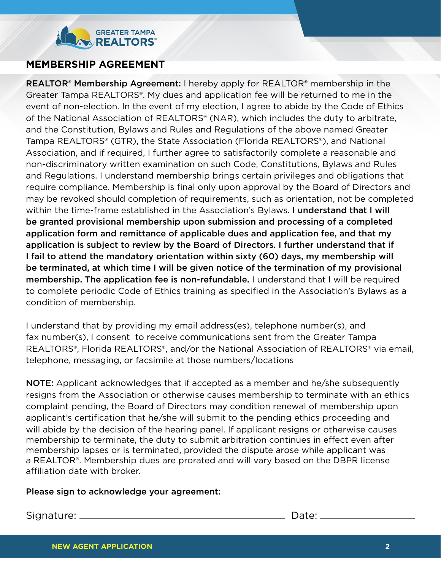## **GREATER TAMPA REALTORS**

## **MEMBERSHIP AGREEMENT**

**REALTOR<sup>®</sup> Membership Agreement:** I hereby apply for REALTOR<sup>®</sup> membership in the Greater Tampa REALTORS®. My dues and application fee will be returned to me in the event of non-election. In the event of my election, I agree to abide by the Code of Ethics of the National Association of REALTORS® (NAR), which includes the duty to arbitrate, and the Constitution, Bylaws and Rules and Regulations of the above named Greater Tampa REALTORS® (GTR), the State Association (Florida REALTORS®), and National Association, and if required, I further agree to satisfactorily complete a reasonable and non-discriminatory written examination on such Code, Constitutions, Bylaws and Rules and Regulations. I understand membership brings certain privileges and obligations that require compliance. Membership is final only upon approval by the Board of Directors and may be revoked should completion of requirements, such as orientation, not be completed within the time-frame established in the Association's Bylaws. **I understand that I will** be granted provisional membership upon submission and processing of a completed application form and remittance of applicable dues and application fee, and that my application is subject to review by the Board of Directors. I further understand that if I fail to attend the mandatory orientation within sixty (60) days, my membership will be terminated, at which time I will be given notice of the termination of my provisional membership. The application fee is non-refundable. I understand that I will be required to complete periodic Code of Ethics training as specified in the Association's Bylaws as a condition of membership.

I understand that by providing my email address(es), telephone number(s), and fax number(s), I consent to receive communications sent from the Greater Tampa REALTORS®, Florida REALTORS®, and/or the National Association of REALTORS® via email, telephone, messaging, or facsimile at those numbers/locations

**NOTE:** Applicant acknowledges that if accepted as a member and he/she subsequently resigns from the Association or otherwise causes membership to terminate with an ethics complaint pending, the Board of Directors may condition renewal of membership upon applicant's certification that he/she will submit to the pending ethics proceeding and will abide by the decision of the hearing panel. If applicant resigns or otherwise causes membership to terminate, the duty to submit arbitration continues in effect even after membership lapses or is terminated, provided the dispute arose while applicant was a REALTOR®. Membership dues are prorated and will vary based on the DBPR license affiliation date with broker.

#### Please sign to acknowledge your agreement:

Signature: Date: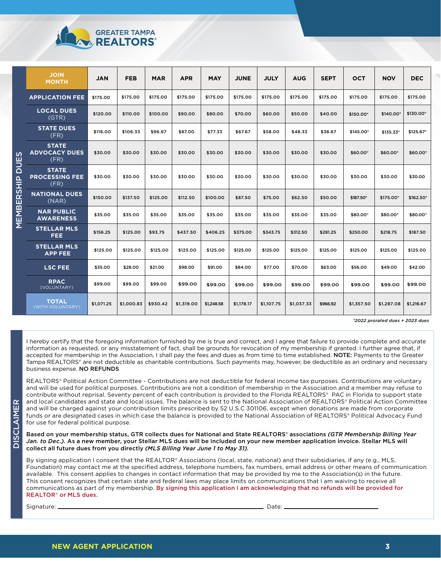| <b>GREATER TAMPA</b> |
|----------------------|
| <b>AN REALTORS</b>   |

| ഗ<br>п<br>$\overline{a}$<br>$\frac{\mathbf{a}}{\mathbf{I}}$<br><u>რ</u><br>ჩ<br>ш<br>EMBI<br>Σ | <b>JOIN</b><br><b>MONTH</b>                   | <b>JAN</b> | <b>FEB</b> | <b>MAR</b> | <b>APR</b> | <b>MAY</b> | <b>JUNE</b> | <b>JULY</b> | <b>AUG</b> | <b>SEPT</b> | <b>OCT</b> | <b>NOV</b> | <b>DEC</b> |
|------------------------------------------------------------------------------------------------|-----------------------------------------------|------------|------------|------------|------------|------------|-------------|-------------|------------|-------------|------------|------------|------------|
|                                                                                                | <b>APPLICATION FEE</b>                        | \$175.00   | \$175.00   | \$175.00   | \$175.00   | \$175.00   | \$175.00    | \$175.00    | \$175.00   | \$175.00    | \$175.00   | \$175.00   | \$175.00   |
|                                                                                                | <b>LOCAL DUES</b><br>(GTR)                    | \$120.00   | \$110.00   | \$100.00   | \$90.00    | \$80.00    | \$70.00     | \$60.00     | \$50.00    | \$40.00     | \$150.00*  | \$140.00*  | \$130.00*  |
|                                                                                                | <b>STATE DUES</b><br>(FR)                     | \$116.00   | \$106.33   | \$96.67    | \$87.00    | \$77.33    | \$67.67     | \$58.00     | \$48.33    | \$38.67     | \$145.00*  | \$135.33*  | \$125.67*  |
|                                                                                                | <b>STATE</b><br><b>ADVOCACY DUES</b><br>(FR)  | \$30.00    | \$30.00    | \$30.00    | \$30.00    | \$30.00    | \$30.00     | \$30.00     | \$30.00    | \$30.00     | \$60.00*   | \$60.00*   | \$60.00*   |
|                                                                                                | <b>STATE</b><br><b>PROCESSING FEE</b><br>(FR) | \$30.00    | \$30.00    | \$30.00    | \$30.00    | \$30.00    | \$30.00     | \$30.00     | \$30.00    | \$30.00     | \$30.00    | \$30.00    | \$30.00    |
|                                                                                                | <b>NATIONAL DUES</b><br>(NAR)                 | \$150.00   | \$137.50   | \$125.00   | \$112.50   | \$100.00   | \$87.50     | \$75.00     | \$62.50    | \$50.00     | \$187.50*  | \$175.00*  | $$162.50*$ |
|                                                                                                | <b>NAR PUBLIC</b><br><b>AWARENESS</b>         | \$35.00    | \$35.00    | \$35.00    | \$35.00    | \$35.00    | \$35.00     | \$35.00     | \$35.00    | \$35.00     | \$80.00*   | \$80.00*   | \$80.00*   |
|                                                                                                | <b>STELLAR MLS</b><br><b>FEE</b>              | \$156.25   | \$125.00   | \$93.75    | \$437.50   | \$406.25   | \$375.00    | \$343.75    | \$312.50   | \$281.25    | \$250.00   | \$218.75   | \$187.50   |
|                                                                                                | <b>STELLAR MLS</b><br><b>APP FEE</b>          | \$125.00   | \$125.00   | \$125.00   | \$125.00   | \$125.00   | \$125.00    | \$125.00    | \$125.00   | \$125.00    | \$125.00   | \$125.00   | \$125.00   |
|                                                                                                | <b>LSC FEE</b>                                | \$35.00    | \$28.00    | \$21.00    | \$98.00    | \$91.00    | \$84.00     | \$77.00     | \$70.00    | \$63.00     | \$56.00    | \$49.00    | \$42.00    |
|                                                                                                | <b>RPAC</b><br>(VOLUNTARY)                    | \$99.00    | \$99.00    | \$99.00    | \$99.00    | \$99.00    | \$99.00     | \$99.00     | \$99.00    | \$99.00     | \$99.00    | \$99.00    | \$99.00    |
|                                                                                                | <b>TOTAL</b><br>(WITH VOLUNTARY)              | \$1,071.25 | \$1,000.83 | \$930.42   | \$1,319.00 | \$1,248.58 | \$1,178.17  | \$1,107.75  | \$1,037.33 | \$966.92    | \$1,357.50 | \$1,287.08 | \$1,216.67 |

*\*2022 prorated dues + 2023 dues*

I hereby certify that the foregoing information furnished by me is true and correct, and I agree that failure to provide complete and accurate information as requested, or any misstatement of fact, shall be grounds for revocation of my membership if granted. I further agree that, if accepted for membership in the Association, I shall pay the fees and dues as from time to time established. NOTE: Payments to the Greater Tampa REALTORS® are not deductible as charitable contributions. Such payments may, however, be deductible as an ordinary and necessary business expense. NO REFUNDS

REALTORS® Political Action Committee - Contributions are not deductible for federal income tax purposes. Contributions are voluntary and will be used for political purposes. Contributions are not a condition of membership in the Association and a member may refuse to contribute without reprisal. Seventy percent of each contribution is provided to the Florida REALTORS® PAC in Florida to support state and local candidates and state and local issues. The balance is sent to the National Association of REALTORS® Political Action Committee and will be charged against your contribution limits prescribed by 52 U.S.C 301106, except when donations are made from corporate funds or are designated cases in which case the balance is provided to the National Association of REALTORS® Political Advocacy Fund for use for federal political purpose.

Based on your membership status, GTR collects dues for National and State REALTORS® associations *(GTR Membership Billing Year Jan. to Dec.).* As a new member, your Stellar MLS dues will be included on your new member application invoice. Stellar MLS will collect all future dues from you directly *(MLS Billing Year June 1 to May 31).*

By signing application I consent that the REALTOR® Associations (local, state, national) and their subsidiaries, if any (e.g., MLS, Foundation) may contact me at the specified address, telephone numbers, fax numbers, email address or other means of communication available. This consent applies to changes in contact information that may be provided by me to the Association(s) in the future. This consent recognizes that certain state and federal laws may place limits on communications that I am waiving to receive all communications as part of my membership. By signing this application I am acknowledging that no refunds will be provided for REALTOR® or MLS dues.

Signature: Date:

DISCLAIMER

AIMER